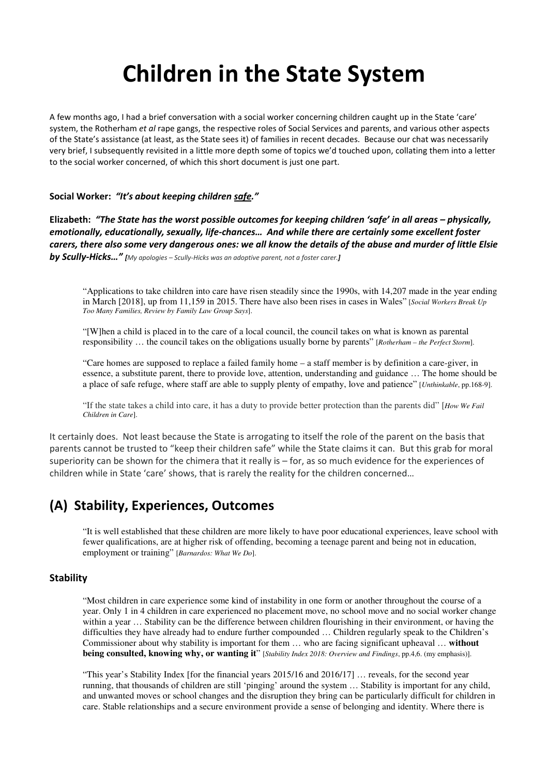# **Children in the State System**

A few months ago, I had a brief conversation with a social worker concerning children caught up in the State 'care' system, the Rotherham *et al* rape gangs, the respective roles of Social Services and parents, and various other aspects of the State's assistance (at least, as the State sees it) of families in recent decades. Because our chat was necessarily very brief, I subsequently revisited in a little more depth some of topics we'd touched upon, collating them into a letter to the social worker concerned, of which this short document is just one part.

#### **Social Worker:** *"It's about keeping children safe."*

**Elizabeth:** *"The State has the worst possible outcomes for keeping children 'safe' in all areas – physically, emotionally, educationally, sexually, life-chances… And while there are certainly some excellent foster carers, there also some very dangerous ones: we all know the details of the abuse and murder of little Elsie by Scully-Hicks…" [My apologies – Scully-Hicks was an adoptive parent, not a foster carer.]*

"Applications to take children into care have risen steadily since the 1990s, with 14,207 made in the year ending in March [2018], up from 11,159 in 2015. There have also been rises in cases in Wales" [*Social Workers Break Up Too Many Families, Review by Family Law Group Says*].

"[W]hen a child is placed in to the care of a local council, the council takes on what is known as parental responsibility … the council takes on the obligations usually borne by parents" [*Rotherham – the Perfect Storm*].

"Care homes are supposed to replace a failed family home – a staff member is by definition a care-giver, in essence, a substitute parent, there to provide love, attention, understanding and guidance … The home should be a place of safe refuge, where staff are able to supply plenty of empathy, love and patience" [*Unthinkable*, pp.168-9].

"If the state takes a child into care, it has a duty to provide better protection than the parents did" [*How We Fail Children in Care*].

It certainly does. Not least because the State is arrogating to itself the role of the parent on the basis that parents cannot be trusted to "keep their children safe" while the State claims it can. But this grab for moral superiority can be shown for the chimera that it really is – for, as so much evidence for the experiences of children while in State 'care' shows, that is rarely the reality for the children concerned…

## **(A) Stability, Experiences, Outcomes**

"It is well established that these children are more likely to have poor educational experiences, leave school with fewer qualifications, are at higher risk of offending, becoming a teenage parent and being not in education, employment or training" [*Barnardos: What We Do*].

#### **Stability**

"Most children in care experience some kind of instability in one form or another throughout the course of a year. Only 1 in 4 children in care experienced no placement move, no school move and no social worker change within a year ... Stability can be the difference between children flourishing in their environment, or having the difficulties they have already had to endure further compounded … Children regularly speak to the Children's Commissioner about why stability is important for them … who are facing significant upheaval … **without being consulted, knowing why, or wanting it**" [*Stability Index 2018: Overview and Findings*, pp.4,6. (my emphasis)].

"This year's Stability Index [for the financial years 2015/16 and 2016/17] … reveals, for the second year running, that thousands of children are still 'pinging' around the system … Stability is important for any child, and unwanted moves or school changes and the disruption they bring can be particularly difficult for children in care. Stable relationships and a secure environment provide a sense of belonging and identity. Where there is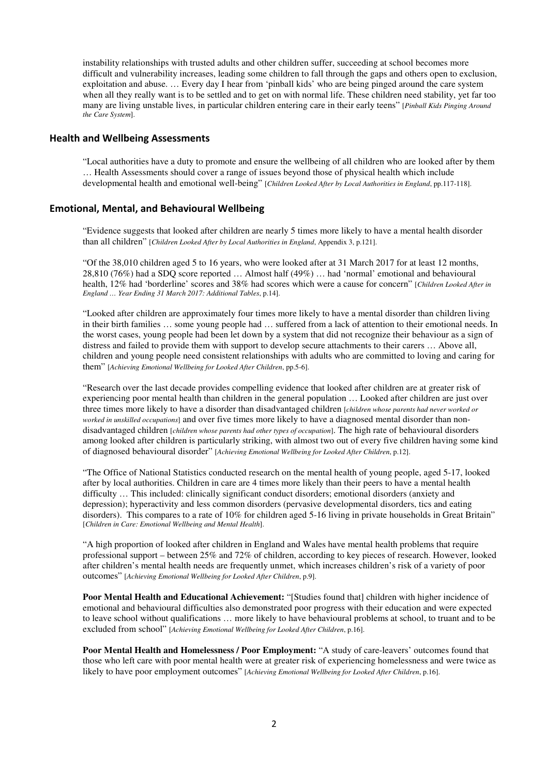instability relationships with trusted adults and other children suffer, succeeding at school becomes more difficult and vulnerability increases, leading some children to fall through the gaps and others open to exclusion, exploitation and abuse. … Every day I hear from 'pinball kids' who are being pinged around the care system when all they really want is to be settled and to get on with normal life. These children need stability, yet far too many are living unstable lives, in particular children entering care in their early teens" [*Pinball Kids Pinging Around the Care System*].

#### **Health and Wellbeing Assessments**

"Local authorities have a duty to promote and ensure the wellbeing of all children who are looked after by them … Health Assessments should cover a range of issues beyond those of physical health which include developmental health and emotional well-being" [*Children Looked After by Local Authorities in England*, pp.117-118].

#### **Emotional, Mental, and Behavioural Wellbeing**

"Evidence suggests that looked after children are nearly 5 times more likely to have a mental health disorder than all children" [*Children Looked After by Local Authorities in England*, Appendix 3, p.121].

"Of the 38,010 children aged 5 to 16 years, who were looked after at 31 March 2017 for at least 12 months, 28,810 (76%) had a SDQ score reported … Almost half (49%) … had 'normal' emotional and behavioural health, 12% had 'borderline' scores and 38% had scores which were a cause for concern" [*Children Looked After in England … Year Ending 31 March 2017: Additional Tables*, p.14].

"Looked after children are approximately four times more likely to have a mental disorder than children living in their birth families … some young people had … suffered from a lack of attention to their emotional needs. In the worst cases, young people had been let down by a system that did not recognize their behaviour as a sign of distress and failed to provide them with support to develop secure attachments to their carers … Above all, children and young people need consistent relationships with adults who are committed to loving and caring for them" [*Achieving Emotional Wellbeing for Looked After Children*, pp.5-6].

"Research over the last decade provides compelling evidence that looked after children are at greater risk of experiencing poor mental health than children in the general population … Looked after children are just over three times more likely to have a disorder than disadvantaged children [*children whose parents had never worked or worked in unskilled occupations*] and over five times more likely to have a diagnosed mental disorder than nondisadvantaged children [*children whose parents had other types of occupation*]. The high rate of behavioural disorders among looked after children is particularly striking, with almost two out of every five children having some kind of diagnosed behavioural disorder" [*Achieving Emotional Wellbeing for Looked After Children*, p.12].

"The Office of National Statistics conducted research on the mental health of young people, aged 5-17, looked after by local authorities. Children in care are 4 times more likely than their peers to have a mental health difficulty … This included: clinically significant conduct disorders; emotional disorders (anxiety and depression); hyperactivity and less common disorders (pervasive developmental disorders, tics and eating disorders). This compares to a rate of 10% for children aged 5-16 living in private households in Great Britain" [*Children in Care: Emotional Wellbeing and Mental Health*].

"A high proportion of looked after children in England and Wales have mental health problems that require professional support – between 25% and 72% of children, according to key pieces of research. However, looked after children's mental health needs are frequently unmet, which increases children's risk of a variety of poor outcomes" [*Achieving Emotional Wellbeing for Looked After Children*, p.9].

**Poor Mental Health and Educational Achievement:** "[Studies found that] children with higher incidence of emotional and behavioural difficulties also demonstrated poor progress with their education and were expected to leave school without qualifications … more likely to have behavioural problems at school, to truant and to be excluded from school" [*Achieving Emotional Wellbeing for Looked After Children*, p.16].

**Poor Mental Health and Homelessness / Poor Employment:** "A study of care-leavers' outcomes found that those who left care with poor mental health were at greater risk of experiencing homelessness and were twice as likely to have poor employment outcomes" [*Achieving Emotional Wellbeing for Looked After Children*, p.16].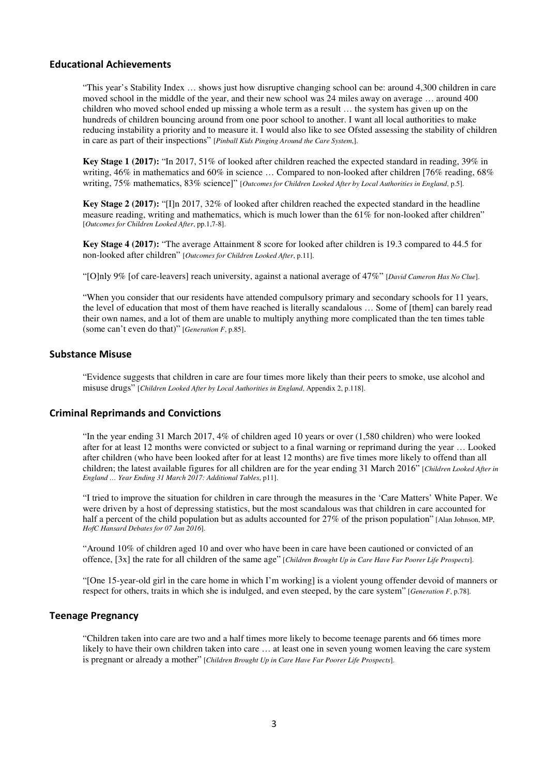#### **Educational Achievements**

"This year's Stability Index … shows just how disruptive changing school can be: around 4,300 children in care moved school in the middle of the year, and their new school was 24 miles away on average … around 400 children who moved school ended up missing a whole term as a result … the system has given up on the hundreds of children bouncing around from one poor school to another. I want all local authorities to make reducing instability a priority and to measure it. I would also like to see Ofsted assessing the stability of children in care as part of their inspections" [*Pinball Kids Pinging Around the Care System*,].

**Key Stage 1 (2017):** "In 2017, 51% of looked after children reached the expected standard in reading, 39% in writing, 46% in mathematics and 60% in science ... Compared to non-looked after children [76% reading, 68% writing, 75% mathematics, 83% science]" [*Outcomes for Children Looked After by Local Authorities in England*, p.5].

**Key Stage 2 (2017):** "[I]n 2017, 32% of looked after children reached the expected standard in the headline measure reading, writing and mathematics, which is much lower than the 61% for non-looked after children" [*Outcomes for Children Looked After*, pp.1,7-8].

**Key Stage 4 (2017):** "The average Attainment 8 score for looked after children is 19.3 compared to 44.5 for non-looked after children" [*Outcomes for Children Looked After*, p.11].

"[O]nly 9% [of care-leavers] reach university, against a national average of 47%" [*David Cameron Has No Clue*].

"When you consider that our residents have attended compulsory primary and secondary schools for 11 years, the level of education that most of them have reached is literally scandalous … Some of [them] can barely read their own names, and a lot of them are unable to multiply anything more complicated than the ten times table (some can't even do that)" [*Generation F*, p.85].

#### **Substance Misuse**

"Evidence suggests that children in care are four times more likely than their peers to smoke, use alcohol and misuse drugs" [*Children Looked After by Local Authorities in England*, Appendix 2, p.118].

#### **Criminal Reprimands and Convictions**

"In the year ending 31 March 2017, 4% of children aged 10 years or over (1,580 children) who were looked after for at least 12 months were convicted or subject to a final warning or reprimand during the year … Looked after children (who have been looked after for at least 12 months) are five times more likely to offend than all children; the latest available figures for all children are for the year ending 31 March 2016" [*Children Looked After in England … Year Ending 31 March 2017: Additional Tables*, p11].

"I tried to improve the situation for children in care through the measures in the 'Care Matters' White Paper. We were driven by a host of depressing statistics, but the most scandalous was that children in care accounted for half a percent of the child population but as adults accounted for 27% of the prison population" [Alan Johnson, MP, *HofC Hansard Debates for 07 Jan 2016*].

"Around 10% of children aged 10 and over who have been in care have been cautioned or convicted of an offence, [3x] the rate for all children of the same age" [*Children Brought Up in Care Have Far Poorer Life Prospects*].

"[One 15-year-old girl in the care home in which I'm working] is a violent young offender devoid of manners or respect for others, traits in which she is indulged, and even steeped, by the care system" [*Generation F*, p.78].

#### **Teenage Pregnancy**

"Children taken into care are two and a half times more likely to become teenage parents and 66 times more likely to have their own children taken into care … at least one in seven young women leaving the care system is pregnant or already a mother" [*Children Brought Up in Care Have Far Poorer Life Prospects*].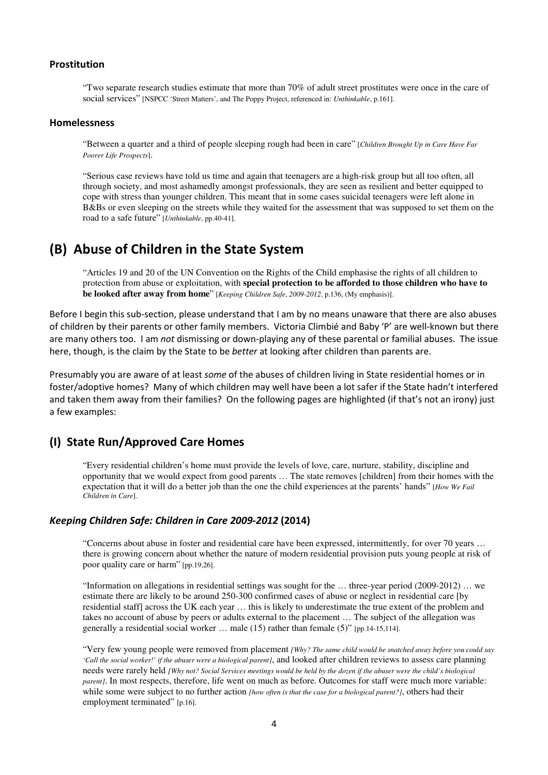#### **Prostitution**

"Two separate research studies estimate that more than 70% of adult street prostitutes were once in the care of social services" [NSPCC 'Street Matters', and The Poppy Project, referenced in: *Unthinkable*, p.161].

#### **Homelessness**

"Between a quarter and a third of people sleeping rough had been in care" [*Children Brought Up in Care Have Far Poorer Life Prospects*].

"Serious case reviews have told us time and again that teenagers are a high-risk group but all too often, all through society, and most ashamedly amongst professionals, they are seen as resilient and better equipped to cope with stress than younger children. This meant that in some cases suicidal teenagers were left alone in B&Bs or even sleeping on the streets while they waited for the assessment that was supposed to set them on the road to a safe future" [*Unthinkable*, pp.40-41].

## **(B) Abuse of Children in the State System**

"Articles 19 and 20 of the UN Convention on the Rights of the Child emphasise the rights of all children to protection from abuse or exploitation, with **special protection to be afforded to those children who have to be looked after away from home**" [*Keeping Children Safe*, *2009-2012*, p.136, (My emphasis)].

Before I begin this sub-section, please understand that I am by no means unaware that there are also abuses of children by their parents or other family members. Victoria Climbié and Baby 'P' are well-known but there are many others too. I am *not* dismissing or down-playing any of these parental or familial abuses. The issue here, though, is the claim by the State to be *better* at looking after children than parents are.

Presumably you are aware of at least *some* of the abuses of children living in State residential homes or in foster/adoptive homes? Many of which children may well have been a lot safer if the State hadn't interfered and taken them away from their families? On the following pages are highlighted (if that's not an irony) just a few examples:

### **(I) State Run/Approved Care Homes**

"Every residential children's home must provide the levels of love, care, nurture, stability, discipline and opportunity that we would expect from good parents … The state removes [children] from their homes with the expectation that it will do a better job than the one the child experiences at the parents' hands" [*How We Fail Children in Care*].

#### *Keeping Children Safe: Children in Care 2009-2012* **(2014)**

"Concerns about abuse in foster and residential care have been expressed, intermittently, for over 70 years … there is growing concern about whether the nature of modern residential provision puts young people at risk of poor quality care or harm" [pp.19,26].

"Information on allegations in residential settings was sought for the … three-year period (2009-2012) … we estimate there are likely to be around 250-300 confirmed cases of abuse or neglect in residential care [by residential staff] across the UK each year … this is likely to underestimate the true extent of the problem and takes no account of abuse by peers or adults external to the placement … The subject of the allegation was generally a residential social worker … male (15) rather than female (5)" [pp.14-15,114].

"Very few young people were removed from placement *[Why? The same child would be snatched away before you could say 'Call the social worker!' if the abuser were a biological parent]*, and looked after children reviews to assess care planning needs were rarely held *[Why not? Social Services meetings would be held by the dozen if the abuser were the child's biological parent]*. In most respects, therefore, life went on much as before. Outcomes for staff were much more variable: while some were subject to no further action *[how often is that the case for a biological parent?]*, others had their employment terminated" [p.16].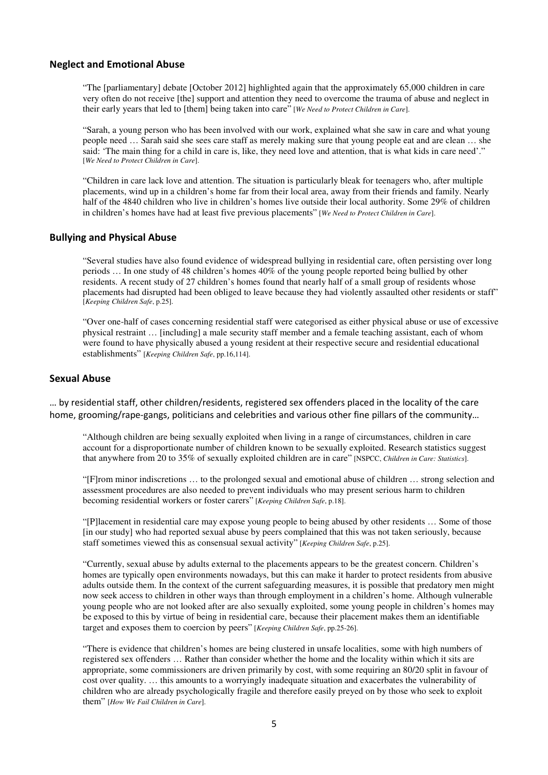#### **Neglect and Emotional Abuse**

"The [parliamentary] debate [October 2012] highlighted again that the approximately 65,000 children in care very often do not receive [the] support and attention they need to overcome the trauma of abuse and neglect in their early years that led to [them] being taken into care" [*We Need to Protect Children in Care*].

"Sarah, a young person who has been involved with our work, explained what she saw in care and what young people need … Sarah said she sees care staff as merely making sure that young people eat and are clean … she said: 'The main thing for a child in care is, like, they need love and attention, that is what kids in care need'." [*We Need to Protect Children in Care*].

"Children in care lack love and attention. The situation is particularly bleak for teenagers who, after multiple placements, wind up in a children's home far from their local area, away from their friends and family. Nearly half of the 4840 children who live in children's homes live outside their local authority. Some 29% of children in children's homes have had at least five previous placements" [*We Need to Protect Children in Care*].

#### **Bullying and Physical Abuse**

"Several studies have also found evidence of widespread bullying in residential care, often persisting over long periods … In one study of 48 children's homes 40% of the young people reported being bullied by other residents. A recent study of 27 children's homes found that nearly half of a small group of residents whose placements had disrupted had been obliged to leave because they had violently assaulted other residents or staff" [*Keeping Children Safe*, p.25].

"Over one-half of cases concerning residential staff were categorised as either physical abuse or use of excessive physical restraint … [including] a male security staff member and a female teaching assistant, each of whom were found to have physically abused a young resident at their respective secure and residential educational establishments" [*Keeping Children Safe*, pp.16,114].

#### **Sexual Abuse**

… by residential staff, other children/residents, registered sex offenders placed in the locality of the care home, grooming/rape-gangs, politicians and celebrities and various other fine pillars of the community…

"Although children are being sexually exploited when living in a range of circumstances, children in care account for a disproportionate number of children known to be sexually exploited. Research statistics suggest that anywhere from 20 to 35% of sexually exploited children are in care" [NSPCC, *Children in Care: Statistics*].

"[F]rom minor indiscretions … to the prolonged sexual and emotional abuse of children … strong selection and assessment procedures are also needed to prevent individuals who may present serious harm to children becoming residential workers or foster carers" [*Keeping Children Safe*, p.18].

"[P]lacement in residential care may expose young people to being abused by other residents … Some of those [in our study] who had reported sexual abuse by peers complained that this was not taken seriously, because staff sometimes viewed this as consensual sexual activity" [*Keeping Children Safe*, p.25].

"Currently, sexual abuse by adults external to the placements appears to be the greatest concern. Children's homes are typically open environments nowadays, but this can make it harder to protect residents from abusive adults outside them. In the context of the current safeguarding measures, it is possible that predatory men might now seek access to children in other ways than through employment in a children's home. Although vulnerable young people who are not looked after are also sexually exploited, some young people in children's homes may be exposed to this by virtue of being in residential care, because their placement makes them an identifiable target and exposes them to coercion by peers" [*Keeping Children Safe*, pp.25-26].

"There is evidence that children's homes are being clustered in unsafe localities, some with high numbers of registered sex offenders … Rather than consider whether the home and the locality within which it sits are appropriate, some commissioners are driven primarily by cost, with some requiring an 80/20 split in favour of cost over quality. … this amounts to a worryingly inadequate situation and exacerbates the vulnerability of children who are already psychologically fragile and therefore easily preyed on by those who seek to exploit them" [*How We Fail Children in Care*].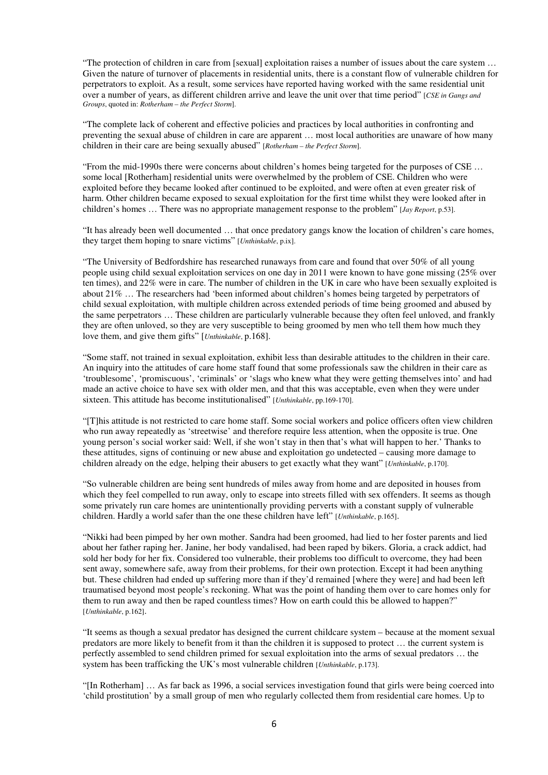"The protection of children in care from [sexual] exploitation raises a number of issues about the care system … Given the nature of turnover of placements in residential units, there is a constant flow of vulnerable children for perpetrators to exploit. As a result, some services have reported having worked with the same residential unit over a number of years, as different children arrive and leave the unit over that time period" [*CSE in Gangs and Groups*, quoted in: *Rotherham – the Perfect Storm*].

"The complete lack of coherent and effective policies and practices by local authorities in confronting and preventing the sexual abuse of children in care are apparent … most local authorities are unaware of how many children in their care are being sexually abused" [*Rotherham – the Perfect Storm*].

"From the mid-1990s there were concerns about children's homes being targeted for the purposes of CSE … some local [Rotherham] residential units were overwhelmed by the problem of CSE. Children who were exploited before they became looked after continued to be exploited, and were often at even greater risk of harm. Other children became exposed to sexual exploitation for the first time whilst they were looked after in children's homes … There was no appropriate management response to the problem" [*Jay Report*, p.53].

"It has already been well documented … that once predatory gangs know the location of children's care homes, they target them hoping to snare victims" [*Unthinkable*, p.ix].

"The University of Bedfordshire has researched runaways from care and found that over 50% of all young people using child sexual exploitation services on one day in 2011 were known to have gone missing (25% over ten times), and 22% were in care. The number of children in the UK in care who have been sexually exploited is about 21% … The researchers had 'been informed about children's homes being targeted by perpetrators of child sexual exploitation, with multiple children across extended periods of time being groomed and abused by the same perpetrators … These children are particularly vulnerable because they often feel unloved, and frankly they are often unloved, so they are very susceptible to being groomed by men who tell them how much they love them, and give them gifts" [*Unthinkable*, p.168].

"Some staff, not trained in sexual exploitation, exhibit less than desirable attitudes to the children in their care. An inquiry into the attitudes of care home staff found that some professionals saw the children in their care as 'troublesome', 'promiscuous', 'criminals' or 'slags who knew what they were getting themselves into' and had made an active choice to have sex with older men, and that this was acceptable, even when they were under sixteen. This attitude has become institutionalised" [*Unthinkable*, pp.169-170].

"[T]his attitude is not restricted to care home staff. Some social workers and police officers often view children who run away repeatedly as 'streetwise' and therefore require less attention, when the opposite is true. One young person's social worker said: Well, if she won't stay in then that's what will happen to her.' Thanks to these attitudes, signs of continuing or new abuse and exploitation go undetected – causing more damage to children already on the edge, helping their abusers to get exactly what they want" [*Unthinkable*, p.170].

"So vulnerable children are being sent hundreds of miles away from home and are deposited in houses from which they feel compelled to run away, only to escape into streets filled with sex offenders. It seems as though some privately run care homes are unintentionally providing perverts with a constant supply of vulnerable children. Hardly a world safer than the one these children have left" [*Unthinkable*, p.165].

"Nikki had been pimped by her own mother. Sandra had been groomed, had lied to her foster parents and lied about her father raping her. Janine, her body vandalised, had been raped by bikers. Gloria, a crack addict, had sold her body for her fix. Considered too vulnerable, their problems too difficult to overcome, they had been sent away, somewhere safe, away from their problems, for their own protection. Except it had been anything but. These children had ended up suffering more than if they'd remained [where they were] and had been left traumatised beyond most people's reckoning. What was the point of handing them over to care homes only for them to run away and then be raped countless times? How on earth could this be allowed to happen?" [*Unthinkable*, p.162].

"It seems as though a sexual predator has designed the current childcare system – because at the moment sexual predators are more likely to benefit from it than the children it is supposed to protect … the current system is perfectly assembled to send children primed for sexual exploitation into the arms of sexual predators … the system has been trafficking the UK's most vulnerable children [*Unthinkable*, p.173].

"[In Rotherham] … As far back as 1996, a social services investigation found that girls were being coerced into 'child prostitution' by a small group of men who regularly collected them from residential care homes. Up to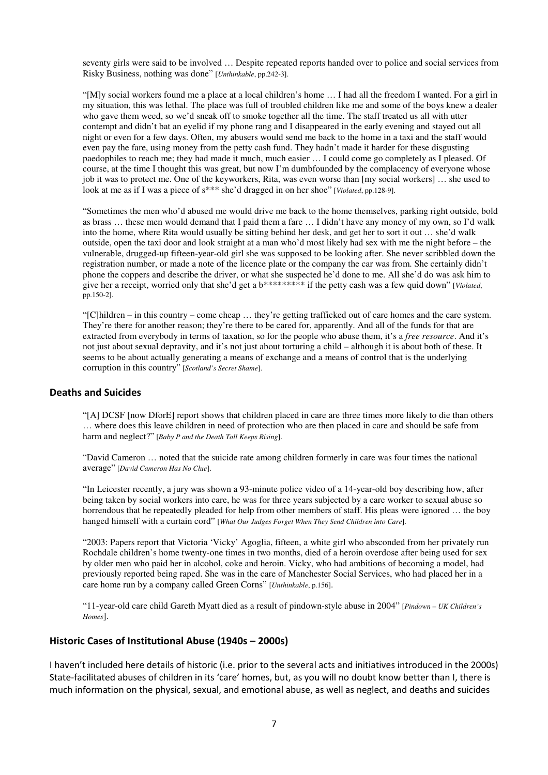seventy girls were said to be involved … Despite repeated reports handed over to police and social services from Risky Business, nothing was done" [*Unthinkable*, pp.242-3].

"[M]y social workers found me a place at a local children's home … I had all the freedom I wanted. For a girl in my situation, this was lethal. The place was full of troubled children like me and some of the boys knew a dealer who gave them weed, so we'd sneak off to smoke together all the time. The staff treated us all with utter contempt and didn't bat an eyelid if my phone rang and I disappeared in the early evening and stayed out all night or even for a few days. Often, my abusers would send me back to the home in a taxi and the staff would even pay the fare, using money from the petty cash fund. They hadn't made it harder for these disgusting paedophiles to reach me; they had made it much, much easier … I could come go completely as I pleased. Of course, at the time I thought this was great, but now I'm dumbfounded by the complacency of everyone whose job it was to protect me. One of the keyworkers, Rita, was even worse than [my social workers] … she used to look at me as if I was a piece of s\*\*\* she'd dragged in on her shoe" [*Violated*, pp.128-9].

"Sometimes the men who'd abused me would drive me back to the home themselves, parking right outside, bold as brass … these men would demand that I paid them a fare … I didn't have any money of my own, so I'd walk into the home, where Rita would usually be sitting behind her desk, and get her to sort it out … she'd walk outside, open the taxi door and look straight at a man who'd most likely had sex with me the night before – the vulnerable, drugged-up fifteen-year-old girl she was supposed to be looking after. She never scribbled down the registration number, or made a note of the licence plate or the company the car was from. She certainly didn't phone the coppers and describe the driver, or what she suspected he'd done to me. All she'd do was ask him to give her a receipt, worried only that she'd get a b\*\*\*\*\*\*\*\*\* if the petty cash was a few quid down" [*Violated*, pp.150-2].

"[C]hildren – in this country – come cheap … they're getting trafficked out of care homes and the care system. They're there for another reason; they're there to be cared for, apparently. And all of the funds for that are extracted from everybody in terms of taxation, so for the people who abuse them, it's a *free resource*. And it's not just about sexual depravity, and it's not just about torturing a child – although it is about both of these. It seems to be about actually generating a means of exchange and a means of control that is the underlying corruption in this country" [*Scotland's Secret Shame*].

#### **Deaths and Suicides**

"[A] DCSF [now DforE] report shows that children placed in care are three times more likely to die than others … where does this leave children in need of protection who are then placed in care and should be safe from harm and neglect?" [*Baby P and the Death Toll Keeps Rising*].

"David Cameron … noted that the suicide rate among children formerly in care was four times the national average" [*David Cameron Has No Clue*].

"In Leicester recently, a jury was shown a 93-minute police video of a 14-year-old boy describing how, after being taken by social workers into care, he was for three years subjected by a care worker to sexual abuse so horrendous that he repeatedly pleaded for help from other members of staff. His pleas were ignored ... the boy hanged himself with a curtain cord" [*What Our Judges Forget When They Send Children into Care*].

"2003: Papers report that Victoria 'Vicky' Agoglia, fifteen, a white girl who absconded from her privately run Rochdale children's home twenty-one times in two months, died of a heroin overdose after being used for sex by older men who paid her in alcohol, coke and heroin. Vicky, who had ambitions of becoming a model, had previously reported being raped. She was in the care of Manchester Social Services, who had placed her in a care home run by a company called Green Corns" [*Unthinkable*, p.156].

"11-year-old care child Gareth Myatt died as a result of pindown-style abuse in 2004" [*Pindown – UK Children's Homes*].

#### **Historic Cases of Institutional Abuse (1940s – 2000s)**

I haven't included here details of historic (i.e. prior to the several acts and initiatives introduced in the 2000s) State-facilitated abuses of children in its 'care' homes, but, as you will no doubt know better than I, there is much information on the physical, sexual, and emotional abuse, as well as neglect, and deaths and suicides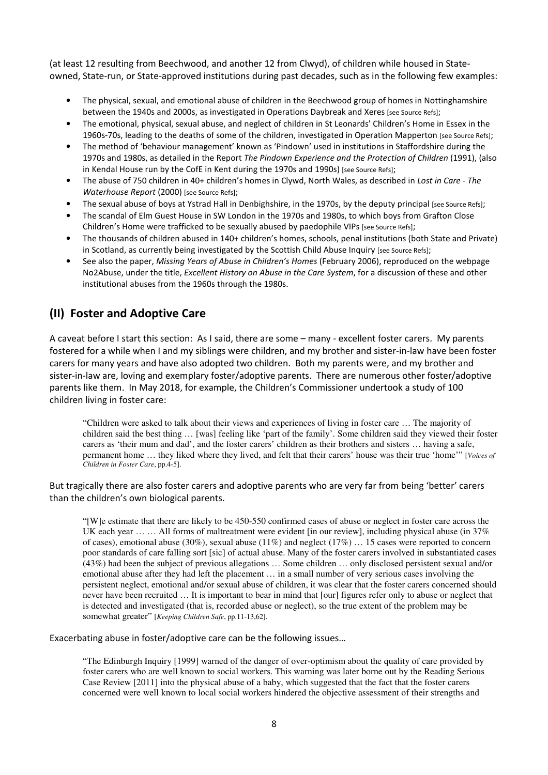(at least 12 resulting from Beechwood, and another 12 from Clwyd), of children while housed in Stateowned, State-run, or State-approved institutions during past decades, such as in the following few examples:

- The physical, sexual, and emotional abuse of children in the Beechwood group of homes in Nottinghamshire between the 1940s and 2000s, as investigated in Operations Daybreak and Xeres [see Source Refs];
- The emotional, physical, sexual abuse, and neglect of children in St Leonards' Children's Home in Essex in the 1960s-70s, leading to the deaths of some of the children, investigated in Operation Mapperton [see Source Refs];
- The method of 'behaviour management' known as 'Pindown' used in institutions in Staffordshire during the 1970s and 1980s, as detailed in the Report *The Pindown Experience and the Protection of Children* (1991), (also in Kendal House run by the CofE in Kent during the 1970s and 1990s) [see Source Refs];
- The abuse of 750 children in 40+ children's homes in Clywd, North Wales, as described in *Lost in Care - The Waterhouse Report* (2000) [see Source Refs];
- The sexual abuse of boys at Ystrad Hall in Denbighshire, in the 1970s, by the deputy principal [see Source Refs];
- The scandal of Elm Guest House in SW London in the 1970s and 1980s, to which boys from Grafton Close Children's Home were trafficked to be sexually abused by paedophile VIPs [see Source Refs];
- The thousands of children abused in 140+ children's homes, schools, penal institutions (both State and Private) in Scotland, as currently being investigated by the Scottish Child Abuse Inquiry [see Source Refs];
- See also the paper, *Missing Years of Abuse in Children's Homes* (February 2006), reproduced on the webpage No2Abuse, under the title, *Excellent History on Abuse in the Care System*, for a discussion of these and other institutional abuses from the 1960s through the 1980s.

## **(II) Foster and Adoptive Care**

A caveat before I start this section: As I said, there are some – many - excellent foster carers. My parents fostered for a while when I and my siblings were children, and my brother and sister-in-law have been foster carers for many years and have also adopted two children. Both my parents were, and my brother and sister-in-law are, loving and exemplary foster/adoptive parents. There are numerous other foster/adoptive parents like them. In May 2018, for example, the Children's Commissioner undertook a study of 100 children living in foster care:

"Children were asked to talk about their views and experiences of living in foster care … The majority of children said the best thing … [was] feeling like 'part of the family'. Some children said they viewed their foster carers as 'their mum and dad', and the foster carers' children as their brothers and sisters … having a safe, permanent home … they liked where they lived, and felt that their carers' house was their true 'home'" [*Voices of Children in Foster Care*, pp.4-5].

But tragically there are also foster carers and adoptive parents who are very far from being 'better' carers than the children's own biological parents.

"[W]e estimate that there are likely to be 450-550 confirmed cases of abuse or neglect in foster care across the UK each year … … All forms of maltreatment were evident [in our review], including physical abuse (in 37% of cases), emotional abuse (30%), sexual abuse (11%) and neglect (17%)  $\dots$  15 cases were reported to concern poor standards of care falling sort [sic] of actual abuse. Many of the foster carers involved in substantiated cases (43%) had been the subject of previous allegations … Some children … only disclosed persistent sexual and/or emotional abuse after they had left the placement … in a small number of very serious cases involving the persistent neglect, emotional and/or sexual abuse of children, it was clear that the foster carers concerned should never have been recruited … It is important to bear in mind that [our] figures refer only to abuse or neglect that is detected and investigated (that is, recorded abuse or neglect), so the true extent of the problem may be somewhat greater" [*Keeping Children Safe*, pp.11-13,62].

Exacerbating abuse in foster/adoptive care can be the following issues…

"The Edinburgh Inquiry [1999] warned of the danger of over-optimism about the quality of care provided by foster carers who are well known to social workers. This warning was later borne out by the Reading Serious Case Review [2011] into the physical abuse of a baby, which suggested that the fact that the foster carers concerned were well known to local social workers hindered the objective assessment of their strengths and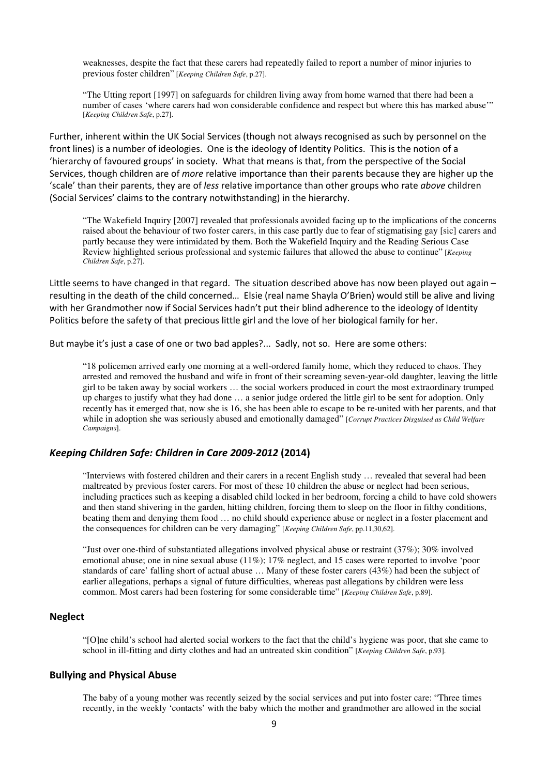weaknesses, despite the fact that these carers had repeatedly failed to report a number of minor injuries to previous foster children" [*Keeping Children Safe*, p.27].

"The Utting report [1997] on safeguards for children living away from home warned that there had been a number of cases 'where carers had won considerable confidence and respect but where this has marked abuse'" [*Keeping Children Safe*, p.27].

Further, inherent within the UK Social Services (though not always recognised as such by personnel on the front lines) is a number of ideologies. One is the ideology of Identity Politics. This is the notion of a 'hierarchy of favoured groups' in society. What that means is that, from the perspective of the Social Services, though children are of *more* relative importance than their parents because they are higher up the 'scale' than their parents, they are of *less* relative importance than other groups who rate *above* children (Social Services' claims to the contrary notwithstanding) in the hierarchy.

"The Wakefield Inquiry [2007] revealed that professionals avoided facing up to the implications of the concerns raised about the behaviour of two foster carers, in this case partly due to fear of stigmatising gay [sic] carers and partly because they were intimidated by them. Both the Wakefield Inquiry and the Reading Serious Case Review highlighted serious professional and systemic failures that allowed the abuse to continue" [*Keeping Children Safe*, p.27].

Little seems to have changed in that regard. The situation described above has now been played out again resulting in the death of the child concerned… Elsie (real name Shayla O'Brien) would still be alive and living with her Grandmother now if Social Services hadn't put their blind adherence to the ideology of Identity Politics before the safety of that precious little girl and the love of her biological family for her.

But maybe it's just a case of one or two bad apples?... Sadly, not so. Here are some others:

"18 policemen arrived early one morning at a well-ordered family home, which they reduced to chaos. They arrested and removed the husband and wife in front of their screaming seven-year-old daughter, leaving the little girl to be taken away by social workers … the social workers produced in court the most extraordinary trumped up charges to justify what they had done … a senior judge ordered the little girl to be sent for adoption. Only recently has it emerged that, now she is 16, she has been able to escape to be re-united with her parents, and that while in adoption she was seriously abused and emotionally damaged" [*Corrupt Practices Disguised as Child Welfare Campaigns*].

#### *Keeping Children Safe: Children in Care 2009-2012* **(2014)**

"Interviews with fostered children and their carers in a recent English study … revealed that several had been maltreated by previous foster carers. For most of these 10 children the abuse or neglect had been serious, including practices such as keeping a disabled child locked in her bedroom, forcing a child to have cold showers and then stand shivering in the garden, hitting children, forcing them to sleep on the floor in filthy conditions, beating them and denying them food … no child should experience abuse or neglect in a foster placement and the consequences for children can be very damaging" [*Keeping Children Safe*, pp.11,30,62].

"Just over one-third of substantiated allegations involved physical abuse or restraint (37%); 30% involved emotional abuse; one in nine sexual abuse (11%); 17% neglect, and 15 cases were reported to involve 'poor standards of care' falling short of actual abuse … Many of these foster carers (43%) had been the subject of earlier allegations, perhaps a signal of future difficulties, whereas past allegations by children were less common. Most carers had been fostering for some considerable time" [*Keeping Children Safe*, p.89].

#### **Neglect**

"[O]ne child's school had alerted social workers to the fact that the child's hygiene was poor, that she came to school in ill-fitting and dirty clothes and had an untreated skin condition" [*Keeping Children Safe*, p.93].

#### **Bullying and Physical Abuse**

The baby of a young mother was recently seized by the social services and put into foster care: "Three times recently, in the weekly 'contacts' with the baby which the mother and grandmother are allowed in the social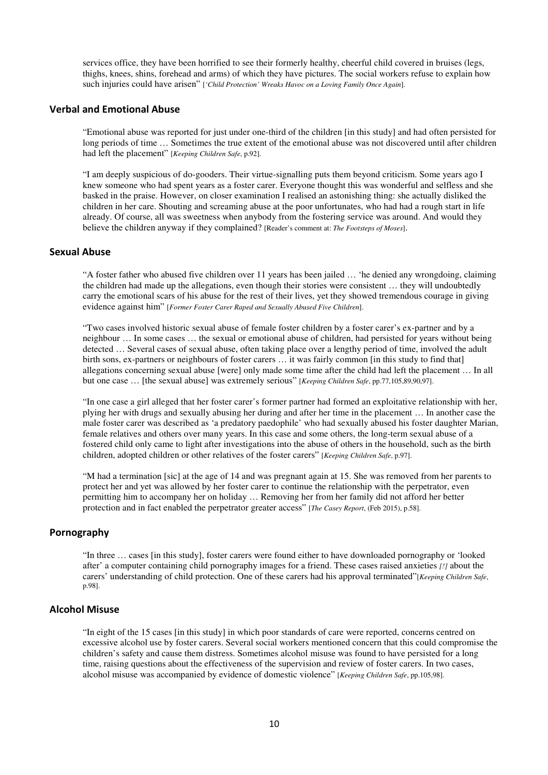services office, they have been horrified to see their formerly healthy, cheerful child covered in bruises (legs, thighs, knees, shins, forehead and arms) of which they have pictures. The social workers refuse to explain how such injuries could have arisen" [*'Child Protection' Wreaks Havoc on a Loving Family Once Again*].

#### **Verbal and Emotional Abuse**

"Emotional abuse was reported for just under one-third of the children [in this study] and had often persisted for long periods of time … Sometimes the true extent of the emotional abuse was not discovered until after children had left the placement" [*Keeping Children Safe*, p.92].

"I am deeply suspicious of do-gooders. Their virtue-signalling puts them beyond criticism. Some years ago I knew someone who had spent years as a foster carer. Everyone thought this was wonderful and selfless and she basked in the praise. However, on closer examination I realised an astonishing thing: she actually disliked the children in her care. Shouting and screaming abuse at the poor unfortunates, who had had a rough start in life already. Of course, all was sweetness when anybody from the fostering service was around. And would they believe the children anyway if they complained? [Reader's comment at: *The Footsteps of Moses*].

#### **Sexual Abuse**

"A foster father who abused five children over 11 years has been jailed … 'he denied any wrongdoing, claiming the children had made up the allegations, even though their stories were consistent … they will undoubtedly carry the emotional scars of his abuse for the rest of their lives, yet they showed tremendous courage in giving evidence against him" [*Former Foster Carer Raped and Sexually Abused Five Children*].

"Two cases involved historic sexual abuse of female foster children by a foster carer's ex-partner and by a neighbour … In some cases … the sexual or emotional abuse of children, had persisted for years without being detected … Several cases of sexual abuse, often taking place over a lengthy period of time, involved the adult birth sons, ex-partners or neighbours of foster carers … it was fairly common [in this study to find that] allegations concerning sexual abuse [were] only made some time after the child had left the placement … In all but one case … [the sexual abuse] was extremely serious" [*Keeping Children Safe*, pp.77,105,89,90,97].

"In one case a girl alleged that her foster carer's former partner had formed an exploitative relationship with her, plying her with drugs and sexually abusing her during and after her time in the placement … In another case the male foster carer was described as 'a predatory paedophile' who had sexually abused his foster daughter Marian, female relatives and others over many years. In this case and some others, the long-term sexual abuse of a fostered child only came to light after investigations into the abuse of others in the household, such as the birth children, adopted children or other relatives of the foster carers" [*Keeping Children Safe*, p.97].

"M had a termination [sic] at the age of 14 and was pregnant again at 15. She was removed from her parents to protect her and yet was allowed by her foster carer to continue the relationship with the perpetrator, even permitting him to accompany her on holiday … Removing her from her family did not afford her better protection and in fact enabled the perpetrator greater access" [*The Casey Report*, (Feb 2015), p.58].

#### **Pornography**

"In three … cases [in this study], foster carers were found either to have downloaded pornography or 'looked after' a computer containing child pornography images for a friend. These cases raised anxieties *[!]* about the carers' understanding of child protection. One of these carers had his approval terminated"[*Keeping Children Safe*, p.98].

#### **Alcohol Misuse**

"In eight of the 15 cases [in this study] in which poor standards of care were reported, concerns centred on excessive alcohol use by foster carers. Several social workers mentioned concern that this could compromise the children's safety and cause them distress. Sometimes alcohol misuse was found to have persisted for a long time, raising questions about the effectiveness of the supervision and review of foster carers. In two cases, alcohol misuse was accompanied by evidence of domestic violence" [*Keeping Children Safe*, pp.105,98].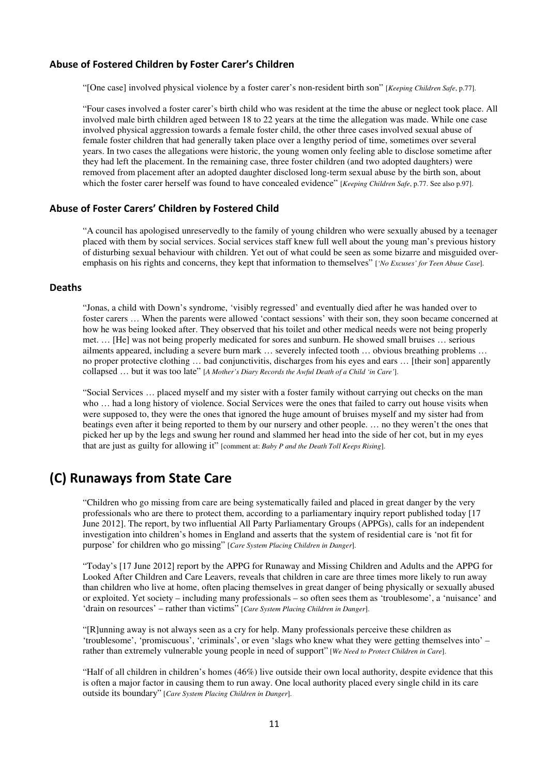#### **Abuse of Fostered Children by Foster Carer's Children**

"[One case] involved physical violence by a foster carer's non-resident birth son" [*Keeping Children Safe*, p.77].

"Four cases involved a foster carer's birth child who was resident at the time the abuse or neglect took place. All involved male birth children aged between 18 to 22 years at the time the allegation was made. While one case involved physical aggression towards a female foster child, the other three cases involved sexual abuse of female foster children that had generally taken place over a lengthy period of time, sometimes over several years. In two cases the allegations were historic, the young women only feeling able to disclose sometime after they had left the placement. In the remaining case, three foster children (and two adopted daughters) were removed from placement after an adopted daughter disclosed long-term sexual abuse by the birth son, about which the foster carer herself was found to have concealed evidence" [*Keeping Children Safe*, p.77. See also p.97].

#### **Abuse of Foster Carers' Children by Fostered Child**

"A council has apologised unreservedly to the family of young children who were sexually abused by a teenager placed with them by social services. Social services staff knew full well about the young man's previous history of disturbing sexual behaviour with children. Yet out of what could be seen as some bizarre and misguided overemphasis on his rights and concerns, they kept that information to themselves" [*'No Excuses' for Teen Abuse Case*].

#### **Deaths**

"Jonas, a child with Down's syndrome, 'visibly regressed' and eventually died after he was handed over to foster carers … When the parents were allowed 'contact sessions' with their son, they soon became concerned at how he was being looked after. They observed that his toilet and other medical needs were not being properly met. … [He] was not being properly medicated for sores and sunburn. He showed small bruises … serious ailments appeared, including a severe burn mark … severely infected tooth … obvious breathing problems … no proper protective clothing … bad conjunctivitis, discharges from his eyes and ears … [their son] apparently collapsed … but it was too late" [*A Mother's Diary Records the Awful Death of a Child 'in Care'*].

"Social Services … placed myself and my sister with a foster family without carrying out checks on the man who ... had a long history of violence. Social Services were the ones that failed to carry out house visits when were supposed to, they were the ones that ignored the huge amount of bruises myself and my sister had from beatings even after it being reported to them by our nursery and other people. … no they weren't the ones that picked her up by the legs and swung her round and slammed her head into the side of her cot, but in my eyes that are just as guilty for allowing it" [comment at: *Baby P and the Death Toll Keeps Rising*].

## **(C) Runaways from State Care**

"Children who go missing from care are being systematically failed and placed in great danger by the very professionals who are there to protect them, according to a parliamentary inquiry report published today [17 June 2012]. The report, by two influential All Party Parliamentary Groups (APPGs), calls for an independent investigation into children's homes in England and asserts that the system of residential care is 'not fit for purpose' for children who go missing" [*Care System Placing Children in Danger*].

"Today's [17 June 2012] report by the APPG for Runaway and Missing Children and Adults and the APPG for Looked After Children and Care Leavers, reveals that children in care are three times more likely to run away than children who live at home, often placing themselves in great danger of being physically or sexually abused or exploited. Yet society – including many professionals – so often sees them as 'troublesome', a 'nuisance' and 'drain on resources' – rather than victims" [*Care System Placing Children in Danger*].

"[R]unning away is not always seen as a cry for help. Many professionals perceive these children as 'troublesome', 'promiscuous', 'criminals', or even 'slags who knew what they were getting themselves into' – rather than extremely vulnerable young people in need of support" [*We Need to Protect Children in Care*].

"Half of all children in children's homes (46%) live outside their own local authority, despite evidence that this is often a major factor in causing them to run away. One local authority placed every single child in its care outside its boundary" [*Care System Placing Children in Danger*].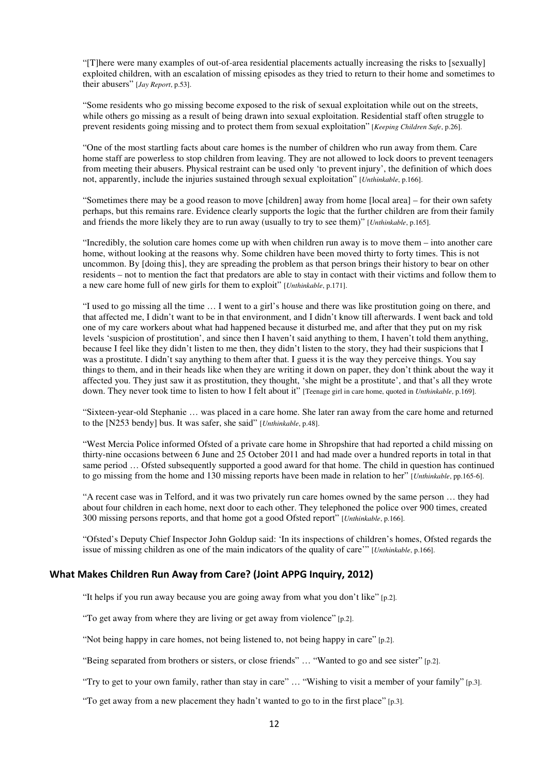"[T]here were many examples of out-of-area residential placements actually increasing the risks to [sexually] exploited children, with an escalation of missing episodes as they tried to return to their home and sometimes to their abusers" [*Jay Report*, p.53].

"Some residents who go missing become exposed to the risk of sexual exploitation while out on the streets, while others go missing as a result of being drawn into sexual exploitation. Residential staff often struggle to prevent residents going missing and to protect them from sexual exploitation" [*Keeping Children Safe*, p.26].

"One of the most startling facts about care homes is the number of children who run away from them. Care home staff are powerless to stop children from leaving. They are not allowed to lock doors to prevent teenagers from meeting their abusers. Physical restraint can be used only 'to prevent injury', the definition of which does not, apparently, include the injuries sustained through sexual exploitation" [*Unthinkable*, p.166].

"Sometimes there may be a good reason to move [children] away from home [local area] – for their own safety perhaps, but this remains rare. Evidence clearly supports the logic that the further children are from their family and friends the more likely they are to run away (usually to try to see them)" [*Unthinkable*, p.165].

"Incredibly, the solution care homes come up with when children run away is to move them – into another care home, without looking at the reasons why. Some children have been moved thirty to forty times. This is not uncommon. By [doing this], they are spreading the problem as that person brings their history to bear on other residents – not to mention the fact that predators are able to stay in contact with their victims and follow them to a new care home full of new girls for them to exploit" [*Unthinkable*, p.171].

"I used to go missing all the time … I went to a girl's house and there was like prostitution going on there, and that affected me, I didn't want to be in that environment, and I didn't know till afterwards. I went back and told one of my care workers about what had happened because it disturbed me, and after that they put on my risk levels 'suspicion of prostitution', and since then I haven't said anything to them, I haven't told them anything, because I feel like they didn't listen to me then, they didn't listen to the story, they had their suspicions that I was a prostitute. I didn't say anything to them after that. I guess it is the way they perceive things. You say things to them, and in their heads like when they are writing it down on paper, they don't think about the way it affected you. They just saw it as prostitution, they thought, 'she might be a prostitute', and that's all they wrote down. They never took time to listen to how I felt about it" [Teenage girl in care home, quoted in *Unthinkable*, p.169].

"Sixteen-year-old Stephanie … was placed in a care home. She later ran away from the care home and returned to the [N253 bendy] bus. It was safer, she said" [*Unthinkable*, p.48].

"West Mercia Police informed Ofsted of a private care home in Shropshire that had reported a child missing on thirty-nine occasions between 6 June and 25 October 2011 and had made over a hundred reports in total in that same period … Ofsted subsequently supported a good award for that home. The child in question has continued to go missing from the home and 130 missing reports have been made in relation to her" [*Unthinkable*, pp.165-6].

"A recent case was in Telford, and it was two privately run care homes owned by the same person … they had about four children in each home, next door to each other. They telephoned the police over 900 times, created 300 missing persons reports, and that home got a good Ofsted report" [*Unthinkable*, p.166].

"Ofsted's Deputy Chief Inspector John Goldup said: 'In its inspections of children's homes, Ofsted regards the issue of missing children as one of the main indicators of the quality of care'" [*Unthinkable*, p.166].

#### **What Makes Children Run Away from Care? (Joint APPG Inquiry, 2012)**

"It helps if you run away because you are going away from what you don't like" [p.2].

"To get away from where they are living or get away from violence" [p.2].

"Not being happy in care homes, not being listened to, not being happy in care" [p.2].

"Being separated from brothers or sisters, or close friends" … "Wanted to go and see sister" [p.2].

"Try to get to your own family, rather than stay in care" … "Wishing to visit a member of your family" [p.3].

"To get away from a new placement they hadn't wanted to go to in the first place"  $[p,3]$ .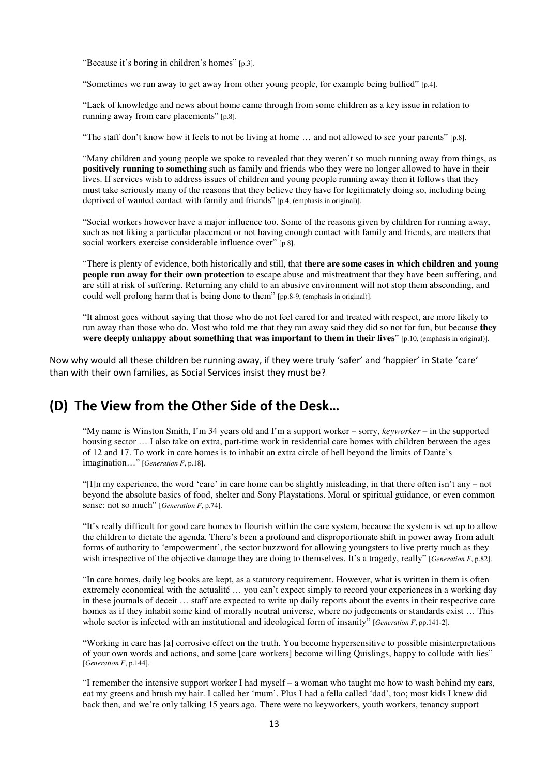"Because it's boring in children's homes" [p.3].

"Sometimes we run away to get away from other young people, for example being bullied" [p.4].

"Lack of knowledge and news about home came through from some children as a key issue in relation to running away from care placements" [p.8].

"The staff don't know how it feels to not be living at home … and not allowed to see your parents" [p.8].

"Many children and young people we spoke to revealed that they weren't so much running away from things, as **positively running to something** such as family and friends who they were no longer allowed to have in their lives. If services wish to address issues of children and young people running away then it follows that they must take seriously many of the reasons that they believe they have for legitimately doing so, including being deprived of wanted contact with family and friends" [p.4, (emphasis in original)].

"Social workers however have a major influence too. Some of the reasons given by children for running away, such as not liking a particular placement or not having enough contact with family and friends, are matters that social workers exercise considerable influence over" [p.8].

"There is plenty of evidence, both historically and still, that **there are some cases in which children and young people run away for their own protection** to escape abuse and mistreatment that they have been suffering, and are still at risk of suffering. Returning any child to an abusive environment will not stop them absconding, and could well prolong harm that is being done to them" [pp.8-9, (emphasis in original)].

"It almost goes without saying that those who do not feel cared for and treated with respect, are more likely to run away than those who do. Most who told me that they ran away said they did so not for fun, but because **they were deeply unhappy about something that was important to them in their lives**" [p.10, (emphasis in original)].

Now why would all these children be running away, if they were truly 'safer' and 'happier' in State 'care' than with their own families, as Social Services insist they must be?

# **(D) The View from the Other Side of the Desk…**

"My name is Winston Smith, I'm 34 years old and I'm a support worker – sorry, *keyworker* – in the supported housing sector … I also take on extra, part-time work in residential care homes with children between the ages of 12 and 17. To work in care homes is to inhabit an extra circle of hell beyond the limits of Dante's imagination…" [*Generation F*, p.18].

"[I]n my experience, the word 'care' in care home can be slightly misleading, in that there often isn't any – not beyond the absolute basics of food, shelter and Sony Playstations. Moral or spiritual guidance, or even common sense: not so much" [*Generation F*, p.74].

"It's really difficult for good care homes to flourish within the care system, because the system is set up to allow the children to dictate the agenda. There's been a profound and disproportionate shift in power away from adult forms of authority to 'empowerment', the sector buzzword for allowing youngsters to live pretty much as they wish irrespective of the objective damage they are doing to themselves. It's a tragedy, really" [*Generation F*, p.82].

"In care homes, daily log books are kept, as a statutory requirement. However, what is written in them is often extremely economical with the actualité … you can't expect simply to record your experiences in a working day in these journals of deceit … staff are expected to write up daily reports about the events in their respective care homes as if they inhabit some kind of morally neutral universe, where no judgements or standards exist ... This whole sector is infected with an institutional and ideological form of insanity" [*Generation F*, pp.141-2].

"Working in care has [a] corrosive effect on the truth. You become hypersensitive to possible misinterpretations of your own words and actions, and some [care workers] become willing Quislings, happy to collude with lies" [*Generation F*, p.144].

"I remember the intensive support worker I had myself – a woman who taught me how to wash behind my ears, eat my greens and brush my hair. I called her 'mum'. Plus I had a fella called 'dad', too; most kids I knew did back then, and we're only talking 15 years ago. There were no keyworkers, youth workers, tenancy support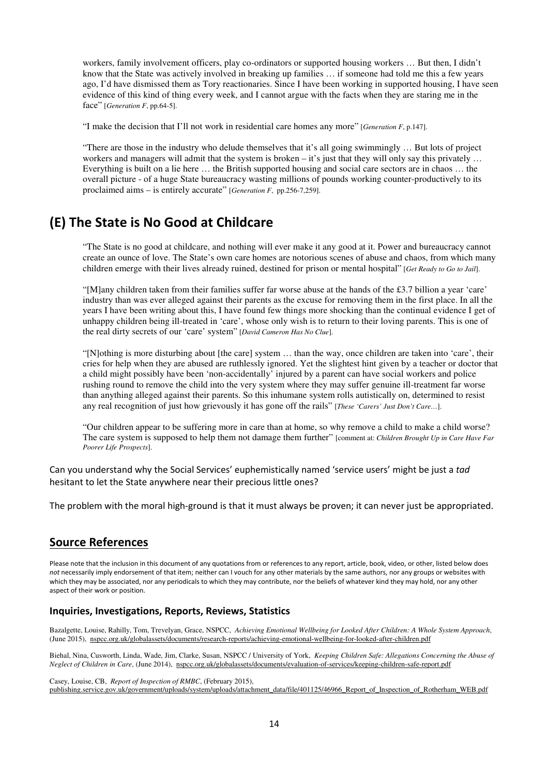workers, family involvement officers, play co-ordinators or supported housing workers … But then, I didn't know that the State was actively involved in breaking up families … if someone had told me this a few years ago, I'd have dismissed them as Tory reactionaries. Since I have been working in supported housing, I have seen evidence of this kind of thing every week, and I cannot argue with the facts when they are staring me in the face" [*Generation F*, pp.64-5].

"I make the decision that I'll not work in residential care homes any more" [*Generation F*, p.147].

"There are those in the industry who delude themselves that it's all going swimmingly … But lots of project workers and managers will admit that the system is broken – it's just that they will only say this privately ... Everything is built on a lie here … the British supported housing and social care sectors are in chaos … the overall picture - of a huge State bureaucracy wasting millions of pounds working counter-productively to its proclaimed aims – is entirely accurate" [*Generation F*, pp.256-7,259].

# **(E) The State is No Good at Childcare**

"The State is no good at childcare, and nothing will ever make it any good at it. Power and bureaucracy cannot create an ounce of love. The State's own care homes are notorious scenes of abuse and chaos, from which many children emerge with their lives already ruined, destined for prison or mental hospital" [*Get Ready to Go to Jail*].

"[M]any children taken from their families suffer far worse abuse at the hands of the  $\pounds 3.7$  billion a year 'care' industry than was ever alleged against their parents as the excuse for removing them in the first place. In all the years I have been writing about this, I have found few things more shocking than the continual evidence I get of unhappy children being ill-treated in 'care', whose only wish is to return to their loving parents. This is one of the real dirty secrets of our 'care' system" [*David Cameron Has No Clue*].

"[N]othing is more disturbing about [the care] system … than the way, once children are taken into 'care', their cries for help when they are abused are ruthlessly ignored. Yet the slightest hint given by a teacher or doctor that a child might possibly have been 'non-accidentally' injured by a parent can have social workers and police rushing round to remove the child into the very system where they may suffer genuine ill-treatment far worse than anything alleged against their parents. So this inhumane system rolls autistically on, determined to resist any real recognition of just how grievously it has gone off the rails" [*These 'Carers' Just Don't Care…*].

"Our children appear to be suffering more in care than at home, so why remove a child to make a child worse? The care system is supposed to help them not damage them further" [comment at: *Children Brought Up in Care Have Far Poorer Life Prospects*].

Can you understand why the Social Services' euphemistically named 'service users' might be just a *tad* hesitant to let the State anywhere near their precious little ones?

The problem with the moral high-ground is that it must always be proven; it can never just be appropriated.

## **Source References**

Please note that the inclusion in this document of any quotations from or references to any report, article, book, video, or other, listed below does *not* necessarily imply endorsement of that item; neither can I vouch for any other materials by the same authors, nor any groups or websites with which they may be associated, nor any periodicals to which they may contribute, nor the beliefs of whatever kind they may hold, nor any other aspect of their work or position.

#### **Inquiries, Investigations, Reports, Reviews, Statistics**

Bazalgette, Louise, Rahilly, Tom, Trevelyan, Grace, NSPCC, *Achieving Emotional Wellbeing for Looked After Children: A Whole System Approach*, (June 2015), nspcc.org.uk/globalassets/documents/research-reports/achieving-emotional-wellbeing-for-looked-after-children.pdf

Biehal, Nina, Cusworth, Linda, Wade, Jim, Clarke, Susan, NSPCC / University of York, *Keeping Children Safe: Allegations Concerning the Abuse of Neglect of Children in Care*, (June 2014), nspcc.org.uk/globalassets/documents/evaluation-of-services/keeping-children-safe-report.pdf

Casey, Louise, CB, *Report of Inspection of RMBC*, (February 2015), publishing.service.gov.uk/government/uploads/system/uploads/attachment\_data/file/401125/46966\_Report\_of\_Inspection\_of\_Rotherham\_WEB.pdf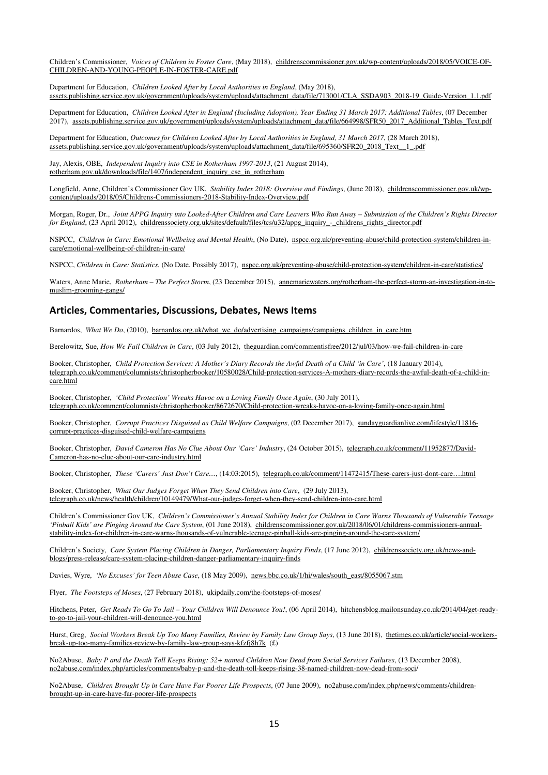Children's Commissioner, *Voices of Children in Foster Care*, (May 2018), childrenscommissioner.gov.uk/wp-content/uploads/2018/05/VOICE-OF-CHILDREN-AND-YOUNG-PEOPLE-IN-FOSTER-CARE.pdf

Department for Education, *Children Looked After by Local Authorities in England*, (May 2018), assets.publishing.service.gov.uk/government/uploads/system/uploads/attachment\_data/file/713001/CLA\_SSDA903\_2018-19\_Guide-Version\_1.1.pdf

Department for Education, *Children Looked After in England (Including Adoption), Year Ending 31 March 2017: Additional Tables*, (07 December 2017), assets.publishing.service.gov.uk/government/uploads/system/uploads/attachment\_data/file/664998/SFR50\_2017\_Additional\_Tables\_Text.pdf

Department for Education, *Outcomes for Children Looked After by Local Authorities in England, 31 March 2017*, (28 March 2018), assets.publishing.service.gov.uk/government/uploads/system/uploads/attachment\_data/file/695360/SFR20\_2018\_Text\_\_1\_.pdf

Jay, Alexis, OBE, *Independent Inquiry into CSE in Rotherham 1997-2013*, (21 August 2014), rotherham.gov.uk/downloads/file/1407/independent\_inquiry\_cse\_in\_rotherham

Longfield, Anne, Children's Commissioner Gov UK, *Stability Index 2018: Overview and Findings*, (June 2018), childrenscommissioner.gov.uk/wpcontent/uploads/2018/05/Childrens-Commissioners-2018-Stability-Index-Overview.pdf

Morgan, Roger, Dr., *Joint APPG Inquiry into Looked-After Children and Care Leavers Who Run Away – Submission of the Children's Rights Director for England*, (23 April 2012), childrenssociety.org.uk/sites/default/files/tcs/u32/appg\_inquiry\_-\_childrens\_rights\_director.pdf

NSPCC, *Children in Care: Emotional Wellbeing and Mental Health*, (No Date), nspcc.org.uk/preventing-abuse/child-protection-system/children-incare/emotional-wellbeing-of-children-in-care/

NSPCC, *Children in Care: Statistics*, (No Date. Possibly 2017), nspcc.org.uk/preventing-abuse/child-protection-system/children-in-care/statistics/

Waters, Anne Marie, Rotherham – The Perfect Storm, (23 December 2015), annemariewaters.org/rotherham-the-perfect-storm-an-investigation-in-tomuslim-grooming-gangs/

#### **Articles, Commentaries, Discussions, Debates, News Items**

Barnardos, *What We Do*, (2010), barnardos.org.uk/what\_we\_do/advertising\_campaigns/campaigns\_children\_in\_care.htm

Berelowitz, Sue, *How We Fail Children in Care*, (03 July 2012), theguardian.com/commentisfree/2012/jul/03/how-we-fail-children-in-care

Booker, Christopher, *Child Protection Services: A Mother's Diary Records the Awful Death of a Child 'in Care'*, (18 January 2014), telegraph.co.uk/comment/columnists/christopherbooker/10580028/Child-protection-services-A-mothers-diary-records-the-awful-death-of-a-child-incare.html

Booker, Christopher, *'Child Protection' Wreaks Havoc on a Loving Family Once Again*, (30 July 2011), telegraph.co.uk/comment/columnists/christopherbooker/8672670/Child-protection-wreaks-havoc-on-a-loving-family-once-again.html

Booker, Christopher, *Corrupt Practices Disguised as Child Welfare Campaigns*, (02 December 2017), sundayguardianlive.com/lifestyle/11816 corrupt-practices-disguised-child-welfare-campaigns

Booker, Christopher, *David Cameron Has No Clue About Our 'Care' Industry*, (24 October 2015), telegraph.co.uk/comment/11952877/David-Cameron-has-no-clue-about-our-care-industry.html

Booker, Christopher, *These 'Carers' Just Don't Care…*, (14:03:2015), telegraph.co.uk/comment/11472415/These-carers-just-dont-care….html

Booker, Christopher, *What Our Judges Forget When They Send Children into Care*, (29 July 2013), telegraph.co.uk/news/health/children/10149479/What-our-judges-forget-when-they-send-children-into-care.html

Children's Commissioner Gov UK, *Children's Commissioner's Annual Stability Index for Children in Care Warns Thousands of Vulnerable Teenage 'Pinball Kids' are Pinging Around the Care System*, (01 June 2018), childrenscommissioner.gov.uk/2018/06/01/childrens-commissioners-annualstability-index-for-children-in-care-warns-thousands-of-vulnerable-teenage-pinball-kids-are-pinging-around-the-care-system/

Children's Society, *Care System Placing Children in Danger, Parliamentary Inquiry Finds*, (17 June 2012), childrenssociety.org.uk/news-andblogs/press-release/care-system-placing-children-danger-parliamentary-inquiry-finds

Davies, Wyre, *'No Excuses' for Teen Abuse Case*, (18 May 2009), news.bbc.co.uk/1/hi/wales/south\_east/8055067.stm

Flyer, *The Footsteps of Moses*, (27 February 2018), ukipdaily.com/the-footsteps-of-moses/

Hitchens, Peter, *Get Ready To Go To Jail – Your Children Will Denounce You!*, (06 April 2014), hitchensblog.mailonsunday.co.uk/2014/04/get-readyto-go-to-jail-your-children-will-denounce-you.html

Hurst, Greg, *Social Workers Break Up Too Many Families, Review by Family Law Group Says*, (13 June 2018), thetimes.co.uk/article/social-workersbreak-up-too-many-families-review-by-family-law-group-says-kfzfj8h7k (£)

No2Abuse, *Baby P and the Death Toll Keeps Rising: 52+ named Children Now Dead from Social Services Failures*, (13 December 2008), no2abuse.com/index.php/articles/comments/baby-p-and-the-death-toll-keeps-rising-38-named-children-now-dead-from-soci/

No2Abuse, *Children Brought Up in Care Have Far Poorer Life Prospects*, (07 June 2009), no2abuse.com/index.php/news/comments/childrenbrought-up-in-care-have-far-poorer-life-prospects